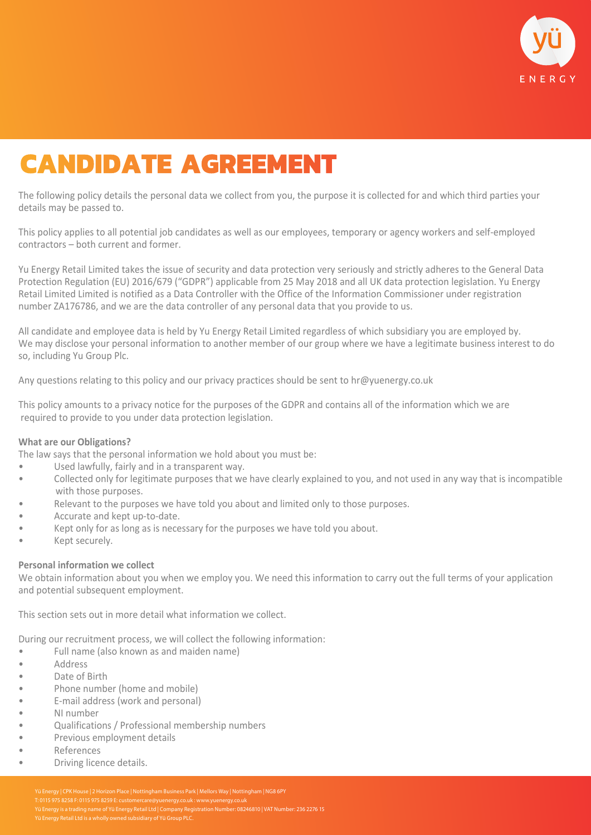

# **CANDIDATE AGREEMENT**

The following policy details the personal data we collect from you, the purpose it is collected for and which third parties your details may be passed to.

This policy applies to all potential job candidates as well as our employees, temporary or agency workers and self-employed contractors – both current and former.

Yu Energy Retail Limited takes the issue of security and data protection very seriously and strictly adheres to the General Data Protection Regulation (EU) 2016/679 ("GDPR") applicable from 25 May 2018 and all UK data protection legislation. Yu Energy Retail Limited Limited is notified as a Data Controller with the Office of the Information Commissioner under registration number ZA176786, and we are the data controller of any personal data that you provide to us.

All candidate and employee data is held by Yu Energy Retail Limited regardless of which subsidiary you are employed by. We may disclose your personal information to another member of our group where we have a legitimate business interest to do so, including Yu Group Plc.

Any questions relating to this policy and our privacy practices should be sent to hr@yuenergy.co.uk

This policy amounts to a privacy notice for the purposes of the GDPR and contains all of the information which we are required to provide to you under data protection legislation.

# **What are our Obligations?**

The law says that the personal information we hold about you must be:

- Used lawfully, fairly and in a transparent way.
- Collected only for legitimate purposes that we have clearly explained to you, and not used in any way that is incompatible with those purposes.
- Relevant to the purposes we have told you about and limited only to those purposes.
- Accurate and kept up-to-date.
- Kept only for as long as is necessary for the purposes we have told you about.
- Kept securely.

#### **Personal information we collect**

We obtain information about you when we employ you. We need this information to carry out the full terms of your application and potential subsequent employment.

This section sets out in more detail what information we collect.

During our recruitment process, we will collect the following information:

- Full name (also known as and maiden name)
- **Address**
- Date of Birth
- Phone number (home and mobile)
- E-mail address (work and personal)
- NI number
- Qualifications / Professional membership numbers
- Previous employment details
- **References**
- Driving licence details.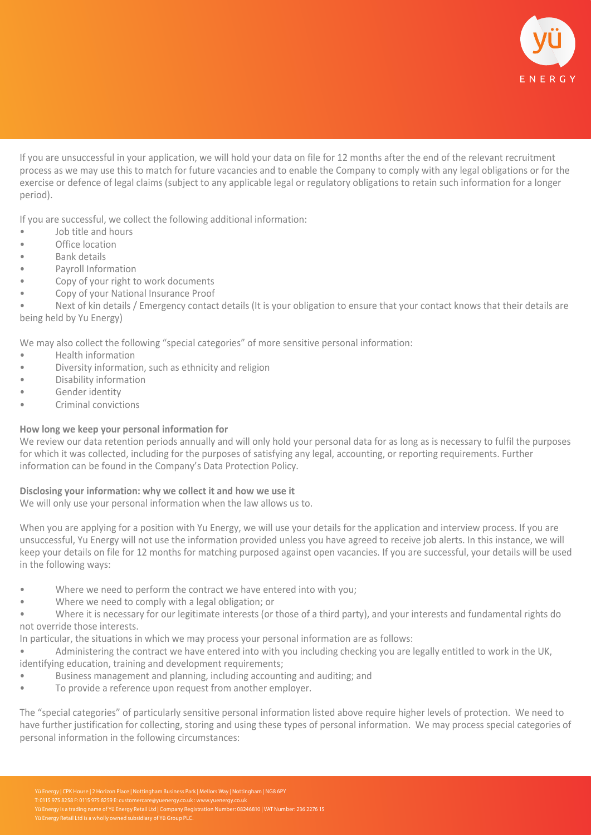

If you are unsuccessful in your application, we will hold your data on file for 12 months after the end of the relevant recruitment process as we may use this to match for future vacancies and to enable the Company to comply with any legal obligations or for the exercise or defence of legal claims (subject to any applicable legal or regulatory obligations to retain such information for a longer period).

If you are successful, we collect the following additional information:

- Job title and hours
- Office location
- Bank details
- Payroll Information
- Copy of your right to work documents
- Copy of your National Insurance Proof

• Next of kin details / Emergency contact details (It is your obligation to ensure that your contact knows that their details are being held by Yu Energy)

We may also collect the following "special categories" of more sensitive personal information:

- Health information
- Diversity information, such as ethnicity and religion
- Disability information
- Gender identity
- Criminal convictions

# **How long we keep your personal information for**

We review our data retention periods annually and will only hold your personal data for as long as is necessary to fulfil the purposes for which it was collected, including for the purposes of satisfying any legal, accounting, or reporting requirements. Further information can be found in the Company's Data Protection Policy.

# **Disclosing your information: why we collect it and how we use it**

We will only use your personal information when the law allows us to.

When you are applying for a position with Yu Energy, we will use your details for the application and interview process. If you are unsuccessful, Yu Energy will not use the information provided unless you have agreed to receive job alerts. In this instance, we will keep your details on file for 12 months for matching purposed against open vacancies. If you are successful, your details will be used in the following ways:

- Where we need to perform the contract we have entered into with you;
- Where we need to comply with a legal obligation; or

• Where it is necessary for our legitimate interests (or those of a third party), and your interests and fundamental rights do not override those interests.

In particular, the situations in which we may process your personal information are as follows:

• Administering the contract we have entered into with you including checking you are legally entitled to work in the UK, identifying education, training and development requirements;

- Business management and planning, including accounting and auditing; and
- To provide a reference upon request from another employer.

The "special categories" of particularly sensitive personal information listed above require higher levels of protection. We need to have further justification for collecting, storing and using these types of personal information. We may process special categories of personal information in the following circumstances: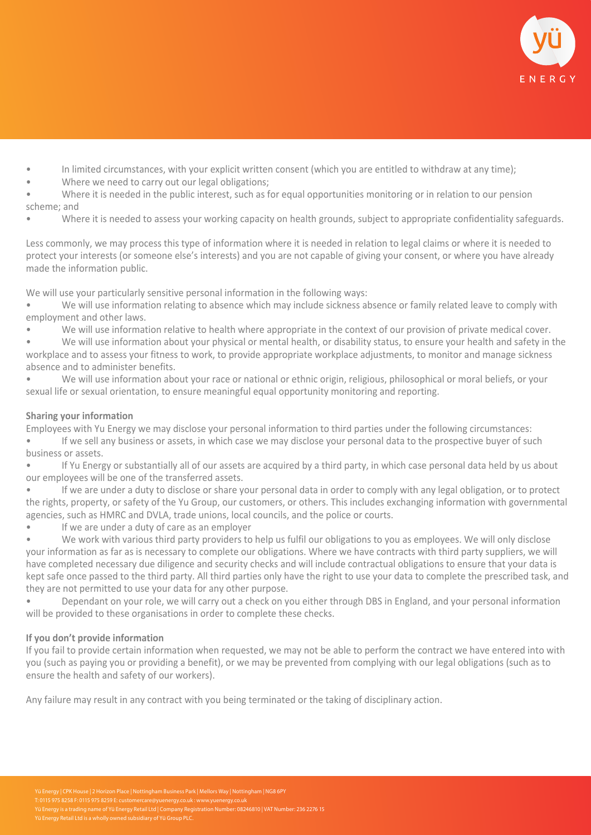

- In limited circumstances, with your explicit written consent (which you are entitled to withdraw at any time);
- Where we need to carry out our legal obligations:
- Where it is needed in the public interest, such as for equal opportunities monitoring or in relation to our pension scheme; and
- Where it is needed to assess your working capacity on health grounds, subject to appropriate confidentiality safeguards.

Less commonly, we may process this type of information where it is needed in relation to legal claims or where it is needed to protect your interests (or someone else's interests) and you are not capable of giving your consent, or where you have already made the information public.

We will use your particularly sensitive personal information in the following ways:

- We will use information relating to absence which may include sickness absence or family related leave to comply with employment and other laws.
- We will use information relative to health where appropriate in the context of our provision of private medical cover.
- We will use information about your physical or mental health, or disability status, to ensure your health and safety in the workplace and to assess your fitness to work, to provide appropriate workplace adjustments, to monitor and manage sickness absence and to administer benefits.
- We will use information about your race or national or ethnic origin, religious, philosophical or moral beliefs, or your sexual life or sexual orientation, to ensure meaningful equal opportunity monitoring and reporting.

# **Sharing your information**

Employees with Yu Energy we may disclose your personal information to third parties under the following circumstances:

- If we sell any business or assets, in which case we may disclose your personal data to the prospective buyer of such business or assets.
- If Yu Energy or substantially all of our assets are acquired by a third party, in which case personal data held by us about our employees will be one of the transferred assets.
- If we are under a duty to disclose or share your personal data in order to comply with any legal obligation, or to protect the rights, property, or safety of the Yu Group, our customers, or others. This includes exchanging information with governmental agencies, such as HMRC and DVLA, trade unions, local councils, and the police or courts.
- If we are under a duty of care as an employer
- We work with various third party providers to help us fulfil our obligations to you as employees. We will only disclose your information as far as is necessary to complete our obligations. Where we have contracts with third party suppliers, we will have completed necessary due diligence and security checks and will include contractual obligations to ensure that your data is kept safe once passed to the third party. All third parties only have the right to use your data to complete the prescribed task, and they are not permitted to use your data for any other purpose.
- Dependant on your role, we will carry out a check on you either through DBS in England, and your personal information will be provided to these organisations in order to complete these checks.

# **If you don't provide information**

If you fail to provide certain information when requested, we may not be able to perform the contract we have entered into with you (such as paying you or providing a benefit), or we may be prevented from complying with our legal obligations (such as to ensure the health and safety of our workers).

Any failure may result in any contract with you being terminated or the taking of disciplinary action.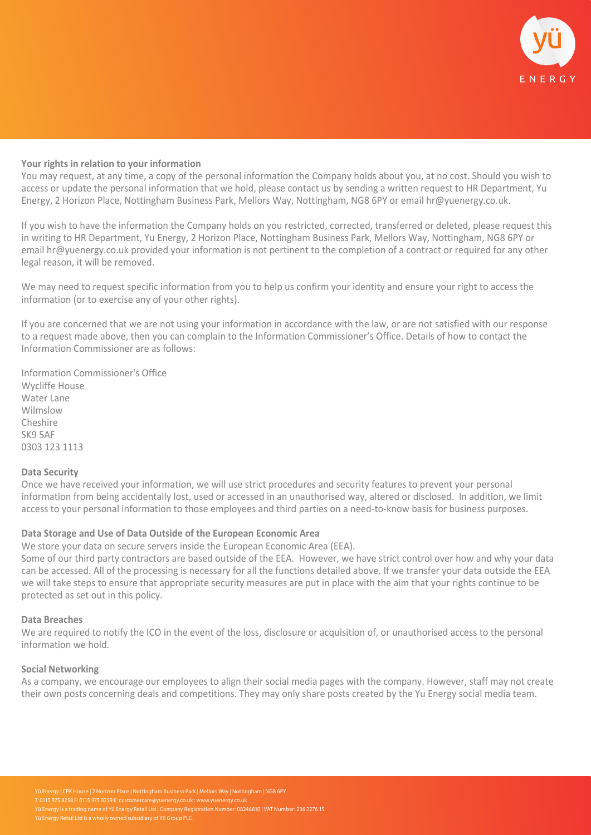

#### **Your rights in relation to your information**

You may request, at any time, a copy of the personal information the Company holds about you, at no cost. Should you wish to access or update the personal information that we hold, please contact us by sending a written request to HR Department, Yu Energy, 2 Horizon Place, Nottingham Business Park, Mellors Way, Nottingham, NG8 6PY or email hr@yuenergy.co.uk.

If you wish to have the information the Company holds on you restricted, corrected, transferred or deleted, please request this in writing to HR Department, Yu Energy, 2 Horizon Place, Nottingham Business Park, Mellors Way, Nottingham, NG8 6PY or email hr@yuenergy.co.uk provided your information is not pertinent to the completion of a contract or required for any other legal reason, it will be removed.

We may need to request specific information from you to help us confirm your identity and ensure your right to access the information (or to exercise any of your other rights).

If you are concerned that we are not using your information in accordance with the law, or are not satisfied with our response to a request made above, then you can complain to the Information Commissioner's Office. Details of how to contact the Information Commissioner are as follows:

Information Commissioner's Office Wycliffe House Water Lane Wilmslow Cheshire SK9 5AF 0303 123 1113

#### **Data Security**

Once we have received your information, we will use strict procedures and security features to prevent your personal information from being accidentally lost, used or accessed in an unauthorised way, altered or disclosed. In addition, we limit access to your personal information to those employees and third parties on a need-to-know basis for business purposes.

# **Data Storage and Use of Data Outside of the European Economic Area**

We store your data on secure servers inside the European Economic Area (EEA).

Some of our third party contractors are based outside of the EEA. However, we have strict control over how and why your data can be accessed. All of the processing is necessary for all the functions detailed above. If we transfer your data outside the EEA we will take steps to ensure that appropriate security measures are put in place with the aim that your rights continue to be protected as set out in this policy.

#### **Data Breaches**

We are required to notify the ICO in the event of the loss, disclosure or acquisition of, or unauthorised access to the personal information we hold.

#### **Social Networking**

As a company, we encourage our employees to align their social media pages with the company. However, staff may not create their own posts concerning deals and competitions. They may only share posts created by the Yu Energy social media team.